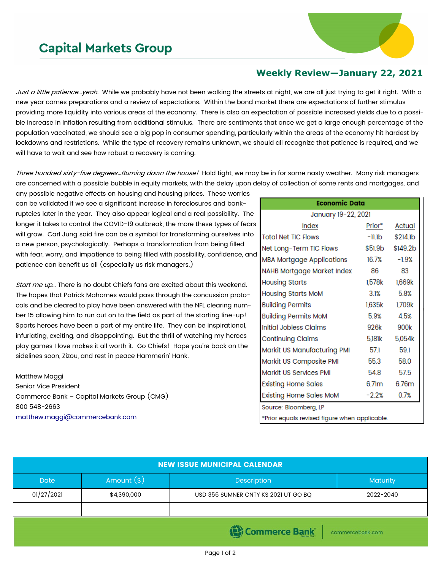## **Capital Markets Group**



## **Weekly Review—January 22, 2021**

Just a little patience…yeah. While we probably have not been walking the streets at night, we are all just trying to get it right. With a new year comes preparations and a review of expectations. Within the bond market there are expectations of further stimulus providing more liquidity into various areas of the economy. There is also an expectation of possible increased yields due to a possible increase in inflation resulting from additional stimulus. There are sentiments that once we get a large enough percentage of the population vaccinated, we should see a big pop in consumer spending, particularly within the areas of the economy hit hardest by lockdowns and restrictions. While the type of recovery remains unknown, we should all recognize that patience is required, and we will have to wait and see how robust a recovery is coming.

Three hundred sixty-five degrees...Burning down the house! Hold tight, we may be in for some nasty weather. Many risk managers are concerned with a possible bubble in equity markets, with the delay upon delay of collection of some rents and mortgages, and

any possible negative effects on housing and housing prices. These worries can be validated if we see a significant increase in foreclosures and bankruptcies later in the year. They also appear logical and a real possibility. The longer it takes to control the COVID-19 outbreak, the more these types of fears will grow. Carl Jung said fire can be a symbol for transforming ourselves into a new person, psychologically. Perhaps a transformation from being filled with fear, worry, and impatience to being filled with possibility, confidence, and patience can benefit us all (especially us risk managers.)

Start me up... There is no doubt Chiefs fans are excited about this weekend. The hopes that Patrick Mahomes would pass through the concussion protocols and be cleared to play have been answered with the NFL clearing number 15 allowing him to run out on to the field as part of the starting line-up! Sports heroes have been a part of my entire life. They can be inspirational, infuriating, exciting, and disappointing. But the thrill of watching my heroes play games I love makes it all worth it. Go Chiefs! Hope you're back on the sidelines soon, Zizou, and rest in peace Hammerin' Hank.

Matthew Maggi Senior Vice President Commerce Bank – Capital Markets Group (CMG) 800 548-2663 [matthew.maggi@commercebank.com](mailto:matthew.maggi@commercebank.com)

| Economic Data                                 |         |                      |  |  |  |
|-----------------------------------------------|---------|----------------------|--|--|--|
| January 19-22, 2021                           |         |                      |  |  |  |
| Index                                         | Prior*  | Actual               |  |  |  |
| <b>Total Net TIC Flows</b>                    | -11.1b  | \$214.1 <sub>b</sub> |  |  |  |
| Net Long-Term TIC Flows                       |         | \$51.9b \$149.2b     |  |  |  |
| <b>MBA Mortgage Applications</b>              | 16.7%   | $-1.9%$              |  |  |  |
| NAHB Mortgage Market Index                    | 86.     | 83                   |  |  |  |
| <b>Housing Starts</b>                         | 1,578k  | 1,669k               |  |  |  |
| <b>Housing Starts MoM</b>                     | 3.1%    | 58%                  |  |  |  |
| <b>Building Permits</b>                       | 1,635k  | 1,709k               |  |  |  |
| <b>Building Permits MoM</b>                   | 5.9%    | 4.5%                 |  |  |  |
| Initial Jobless Claims                        | 926k    | 900k                 |  |  |  |
| <b>Continuing Claims</b>                      | 5,181k  | 5,054k               |  |  |  |
| Markit US Manufacturing PMI                   | 57.1    | 591                  |  |  |  |
| Markit US Composite PMI                       | 55.3    | 580                  |  |  |  |
| Markit US Services PMI                        | 548     | 575                  |  |  |  |
| <b>Existing Home Sales</b>                    | 6.71m   | 6.76m                |  |  |  |
| Existing Home Sales MoM                       | $-2.2%$ | 0.7%                 |  |  |  |
| Source: Bloomberg, LP                         |         |                      |  |  |  |
| *Prior equals revised figure when applicable. |         |                      |  |  |  |

| <b>NEW ISSUE MUNICIPAL CALENDAR</b> |              |                                      |                 |  |
|-------------------------------------|--------------|--------------------------------------|-----------------|--|
| <b>Date</b>                         | Amount $(*)$ | <b>Description</b>                   | <b>Maturity</b> |  |
| 01/27/2021                          | \$4,390,000  | USD 356 SUMNER CNTY KS 2021 UT GO BQ | 2022-2040       |  |
|                                     |              |                                      |                 |  |
| Commerce Bank<br>commercebank.com   |              |                                      |                 |  |